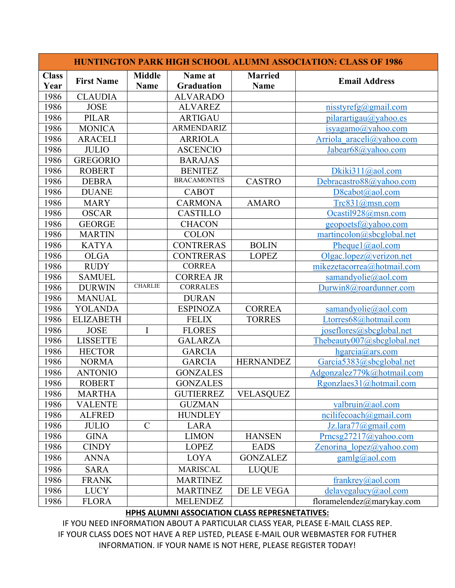| <b>HUNTINGTON PARK HIGH SCHOOL ALUMNI ASSOCIATION: CLASS OF 1986</b> |                   |                              |                       |                               |                                   |  |  |
|----------------------------------------------------------------------|-------------------|------------------------------|-----------------------|-------------------------------|-----------------------------------|--|--|
| <b>Class</b><br>Year                                                 | <b>First Name</b> | <b>Middle</b><br><b>Name</b> | Name at<br>Graduation | <b>Married</b><br><b>Name</b> | <b>Email Address</b>              |  |  |
| 1986                                                                 | <b>CLAUDIA</b>    |                              | <b>ALVARADO</b>       |                               |                                   |  |  |
| 1986                                                                 | <b>JOSE</b>       |                              | <b>ALVAREZ</b>        |                               | $nisstyrefg(\omega gmail.com)$    |  |  |
| 1986                                                                 | <b>PILAR</b>      |                              | <b>ARTIGAU</b>        |                               | pilarartigau@yahoo.es             |  |  |
| 1986                                                                 | <b>MONICA</b>     |                              | <b>ARMENDARIZ</b>     |                               | isyagamo(a)yahoo.com              |  |  |
| 1986                                                                 | <b>ARACELI</b>    |                              | <b>ARRIOLA</b>        |                               | Arriola araceli@yahoo.com         |  |  |
| 1986                                                                 | <b>JULIO</b>      |                              | <b>ASCENCIO</b>       |                               | Jabear68@yahoo.com                |  |  |
| 1986                                                                 | <b>GREGORIO</b>   |                              | <b>BARAJAS</b>        |                               |                                   |  |  |
| 1986                                                                 | <b>ROBERT</b>     |                              | <b>BENITEZ</b>        |                               | Dkiki311@aol.com                  |  |  |
| 1986                                                                 | <b>DEBRA</b>      |                              | <b>BRACAMONTES</b>    | <b>CASTRO</b>                 | Debracastro88@yahoo.com           |  |  |
| 1986                                                                 | <b>DUANE</b>      |                              | <b>CABOT</b>          |                               | D8cabot@aol.com                   |  |  |
| 1986                                                                 | <b>MARY</b>       |                              | <b>CARMONA</b>        | <b>AMARO</b>                  | Trc831@msn.com                    |  |  |
| 1986                                                                 | <b>OSCAR</b>      |                              | <b>CASTILLO</b>       |                               | Ocastil928@msn.com                |  |  |
| 1986                                                                 | <b>GEORGE</b>     |                              | <b>CHACON</b>         |                               | geopoetsf@yahoo.com               |  |  |
| 1986                                                                 | <b>MARTIN</b>     |                              | <b>COLON</b>          |                               | martincolon@sbcglobal.net         |  |  |
| 1986                                                                 | <b>KATYA</b>      |                              | <b>CONTRERAS</b>      | <b>BOLIN</b>                  | Pheque $(a)$ ao l.com             |  |  |
| 1986                                                                 | <b>OLGA</b>       |                              | <b>CONTRERAS</b>      | <b>LOPEZ</b>                  | Olgac.lopez@verizon.net           |  |  |
| 1986                                                                 | <b>RUDY</b>       |                              | <b>CORREA</b>         |                               | mikezetacorrea@hotmail.com        |  |  |
| 1986                                                                 | <b>SAMUEL</b>     |                              | <b>CORREA JR</b>      |                               | samandyolie@aol.com               |  |  |
| 1986                                                                 | <b>DURWIN</b>     | <b>CHARLIE</b>               | <b>CORRALES</b>       |                               | Durwin8@roardunner.com            |  |  |
| 1986                                                                 | <b>MANUAL</b>     |                              | <b>DURAN</b>          |                               |                                   |  |  |
| 1986                                                                 | <b>YOLANDA</b>    |                              | <b>ESPINOZA</b>       | <b>CORREA</b>                 | samandyolie@aol.com               |  |  |
| 1986                                                                 | <b>ELIZABETH</b>  |                              | <b>FELIX</b>          | <b>TORRES</b>                 | Ltorres68@hotmail.com             |  |  |
| 1986                                                                 | <b>JOSE</b>       | I                            | <b>FLORES</b>         |                               | $i$ oseflores $(a)$ sbcglobal.net |  |  |
| 1986                                                                 | <b>LISSETTE</b>   |                              | <b>GALARZA</b>        |                               | Thebeauty007@sbcglobal.net        |  |  |
| 1986                                                                 | <b>HECTOR</b>     |                              | <b>GARCIA</b>         |                               | hgarcia@ars.com                   |  |  |
| 1986                                                                 | <b>NORMA</b>      |                              | <b>GARCIA</b>         | <b>HERNANDEZ</b>              | Garcia5383@sbcglobal.net          |  |  |
| 1986                                                                 | <b>ANTONIO</b>    |                              | <b>GONZALES</b>       |                               | Adgonzalez779k@hotmail.com        |  |  |
| 1986                                                                 | <b>ROBERT</b>     |                              | <b>GONZALES</b>       |                               | Rgonzlaes31@hotmail.com           |  |  |
| 1986                                                                 | <b>MARTHA</b>     |                              | <b>GUTIERREZ</b>      | <b>VELASQUEZ</b>              |                                   |  |  |
| 1986                                                                 | <b>VALENTE</b>    |                              | <b>GUZMAN</b>         |                               | valbruin@aol.com                  |  |  |
| 1986                                                                 | <b>ALFRED</b>     |                              | <b>HUNDLEY</b>        |                               | ncilifecoach@gmail.com            |  |  |
| 1986                                                                 | <b>JULIO</b>      | $\mathbf C$                  | LARA                  |                               | Jz.lara77@gmail.com               |  |  |
| 1986                                                                 | <b>GINA</b>       |                              | <b>LIMON</b>          | <b>HANSEN</b>                 | Prncsg27217@yahoo.com             |  |  |
| 1986                                                                 | <b>CINDY</b>      |                              | <b>LOPEZ</b>          | <b>EADS</b>                   | Zenorina lopez@yahoo.com          |  |  |
| 1986                                                                 | <b>ANNA</b>       |                              | <b>LOYA</b>           | <b>GONZALEZ</b>               | $\text{gamlg}(\hat{a})$ aol.com   |  |  |
| 1986                                                                 | <b>SARA</b>       |                              | <b>MARISCAL</b>       | <b>LUQUE</b>                  |                                   |  |  |
| 1986                                                                 | <b>FRANK</b>      |                              | <b>MARTINEZ</b>       |                               | frankrey@aol.com                  |  |  |
| 1986                                                                 | <b>LUCY</b>       |                              | <b>MARTINEZ</b>       | DE LE VEGA                    | $delay$ egalucy $(a)$ aol.com     |  |  |
| 1986                                                                 | <b>FLORA</b>      |                              | <b>MELENDEZ</b>       |                               | floramelendez@marykay.com         |  |  |

## **HPHS ALUMNI ASSOCIATION CLASS REPRESNETATIVES:**

IF YOU NEED INFORMATION ABOUT A PARTICULAR CLASS YEAR, PLEASE E-MAIL CLASS REP. IF YOUR CLASS DOES NOT HAVE A REP LISTED, PLEASE E-MAIL OUR WEBMASTER FOR FUTHER INFORMATION. IF YOUR NAME IS NOT HERE, PLEASE REGISTER TODAY!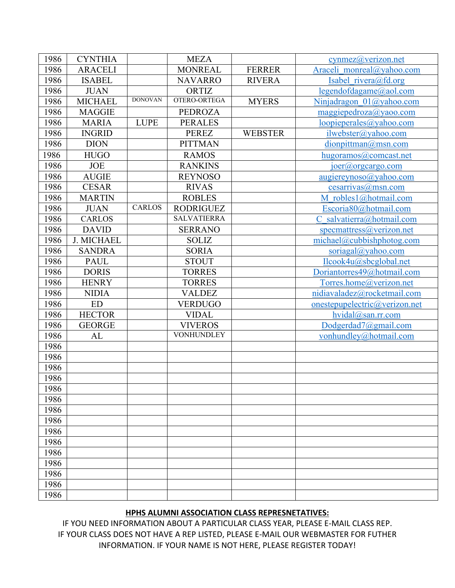| 1986 | <b>CYNTHIA</b>    |                | <b>MEZA</b>        |                | $cynmez$ ( $@verizon.net$             |
|------|-------------------|----------------|--------------------|----------------|---------------------------------------|
| 1986 | <b>ARACELI</b>    |                | <b>MONREAL</b>     | <b>FERRER</b>  | Araceli monreal@yahoo.com             |
| 1986 | <b>ISABEL</b>     |                | <b>NAVARRO</b>     | <b>RIVERA</b>  | Isabel rivera@fd.org                  |
| 1986 | <b>JUAN</b>       |                | ORTIZ              |                | legendofdagame@aol.com                |
| 1986 | <b>MICHAEL</b>    | <b>DONOVAN</b> | OTERO-ORTEGA       | <b>MYERS</b>   | Ninjadragon 01@yahoo.com              |
| 1986 | <b>MAGGIE</b>     |                | <b>PEDROZA</b>     |                | $mag$ giepedroza@yaoo.com             |
| 1986 | <b>MARIA</b>      | <b>LUPE</b>    | <b>PERALES</b>     |                | loopieperales@yahoo.com               |
| 1986 | <b>INGRID</b>     |                | <b>PEREZ</b>       | <b>WEBSTER</b> | ilwebster@yahoo.com                   |
| 1986 | <b>DION</b>       |                | <b>PITTMAN</b>     |                | dionpittman@msn.com                   |
| 1986 | <b>HUGO</b>       |                | <b>RAMOS</b>       |                | hugoramos@comcast.net                 |
| 1986 | <b>JOE</b>        |                | <b>RANKINS</b>     |                | joer@orgcargo.com                     |
| 1986 | <b>AUGIE</b>      |                | <b>REYNOSO</b>     |                | $augiereynoso(a)$ yahoo.com           |
| 1986 | <b>CESAR</b>      |                | <b>RIVAS</b>       |                | cesarrivas@msn.com                    |
| 1986 | <b>MARTIN</b>     |                | <b>ROBLES</b>      |                | M robles1@hotmail.com                 |
| 1986 | <b>JUAN</b>       | <b>CARLOS</b>  | <b>RODRIGUEZ</b>   |                | Escoria80@hotmail.com                 |
| 1986 | <b>CARLOS</b>     |                | <b>SALVATIERRA</b> |                | C salvatierra@hotmail.com             |
| 1986 | <b>DAVID</b>      |                | <b>SERRANO</b>     |                | specmattress@verizon.net              |
| 1986 | <b>J. MICHAEL</b> |                | <b>SOLIZ</b>       |                | michael@cubbishphotog.com             |
| 1986 | <b>SANDRA</b>     |                | <b>SORIA</b>       |                | soriagal@yahoo.com                    |
| 1986 | <b>PAUL</b>       |                | <b>STOUT</b>       |                | Ilcook4u@sbcglobal.net                |
| 1986 | <b>DORIS</b>      |                | <b>TORRES</b>      |                | Doriantorres49@hotmail.com            |
| 1986 | <b>HENRY</b>      |                | <b>TORRES</b>      |                | Torres.home@verizon.net               |
| 1986 | <b>NIDIA</b>      |                | <b>VALDEZ</b>      |                | nidiavaladez@rocketmail.com           |
| 1986 | <b>ED</b>         |                | <b>VERDUGO</b>     |                | $one step up electric(Q)$ verizon.net |
| 1986 | <b>HECTOR</b>     |                | <b>VIDAL</b>       |                | hvidal@san.rr.com                     |
| 1986 | <b>GEORGE</b>     |                | <b>VIVEROS</b>     |                | Dodgerdad7@gmail.com                  |
| 1986 | AL                |                | <b>VONHUNDLEY</b>  |                | vonhundley@hotmail.com                |
| 1986 |                   |                |                    |                |                                       |
| 1986 |                   |                |                    |                |                                       |
| 1986 |                   |                |                    |                |                                       |
| 1986 |                   |                |                    |                |                                       |
| 1986 |                   |                |                    |                |                                       |
| 1986 |                   |                |                    |                |                                       |
| 1986 |                   |                |                    |                |                                       |
| 1986 |                   |                |                    |                |                                       |
| 1986 |                   |                |                    |                |                                       |
| 1986 |                   |                |                    |                |                                       |
| 1986 |                   |                |                    |                |                                       |
| 1986 |                   |                |                    |                |                                       |
| 1986 |                   |                |                    |                |                                       |
| 1986 |                   |                |                    |                |                                       |
| 1986 |                   |                |                    |                |                                       |

## **HPHS ALUMNI ASSOCIATION CLASS REPRESNETATIVES:**

IF YOU NEED INFORMATION ABOUT A PARTICULAR CLASS YEAR, PLEASE E-MAIL CLASS REP. IF YOUR CLASS DOES NOT HAVE A REP LISTED, PLEASE E-MAIL OUR WEBMASTER FOR FUTHER INFORMATION. IF YOUR NAME IS NOT HERE, PLEASE REGISTER TODAY!